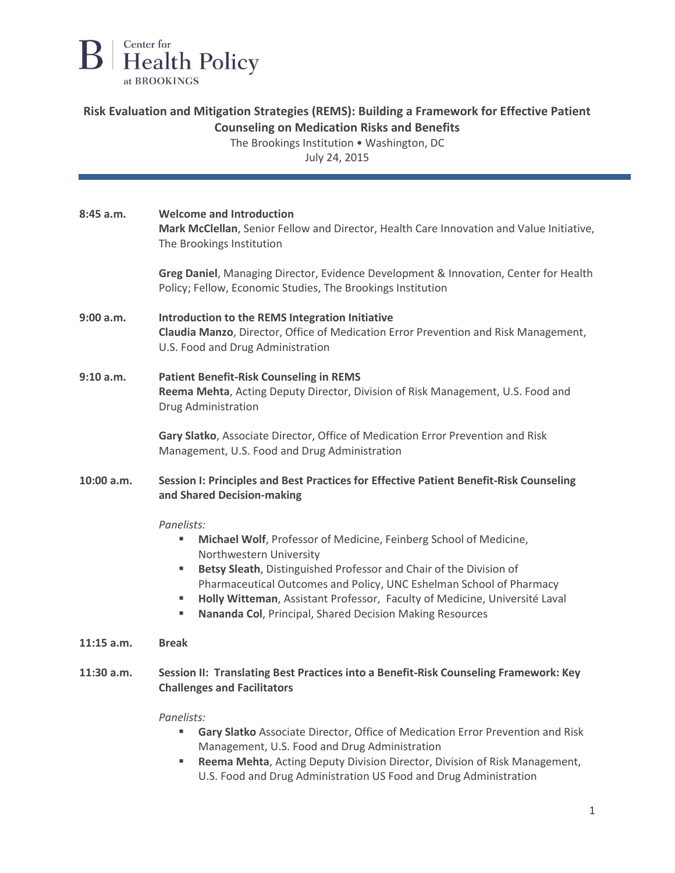

## **Risk Evaluation and Mitigation Strategies (REMS): Building a Framework for Effective Patient Counseling on Medication Risks and Benefits**

The Brookings Institution • Washington, DC

July 24, 2015

| 8:45a.m.     | <b>Welcome and Introduction</b><br>Mark McClellan, Senior Fellow and Director, Health Care Innovation and Value Initiative,<br>The Brookings Institution                                                                                                                                                                                                                                                         |
|--------------|------------------------------------------------------------------------------------------------------------------------------------------------------------------------------------------------------------------------------------------------------------------------------------------------------------------------------------------------------------------------------------------------------------------|
|              | Greg Daniel, Managing Director, Evidence Development & Innovation, Center for Health<br>Policy; Fellow, Economic Studies, The Brookings Institution                                                                                                                                                                                                                                                              |
| 9:00 a.m.    | Introduction to the REMS Integration Initiative<br>Claudia Manzo, Director, Office of Medication Error Prevention and Risk Management,<br>U.S. Food and Drug Administration                                                                                                                                                                                                                                      |
| 9:10 a.m.    | <b>Patient Benefit-Risk Counseling in REMS</b><br>Reema Mehta, Acting Deputy Director, Division of Risk Management, U.S. Food and<br>Drug Administration                                                                                                                                                                                                                                                         |
|              | Gary Slatko, Associate Director, Office of Medication Error Prevention and Risk<br>Management, U.S. Food and Drug Administration                                                                                                                                                                                                                                                                                 |
| 10:00 a.m.   | Session I: Principles and Best Practices for Effective Patient Benefit-Risk Counseling<br>and Shared Decision-making                                                                                                                                                                                                                                                                                             |
|              | Panelists:<br>Michael Wolf, Professor of Medicine, Feinberg School of Medicine,<br>Northwestern University<br>Betsy Sleath, Distinguished Professor and Chair of the Division of<br>٠<br>Pharmaceutical Outcomes and Policy, UNC Eshelman School of Pharmacy<br>Holly Witteman, Assistant Professor, Faculty of Medicine, Université Laval<br>٠<br>Nananda Col, Principal, Shared Decision Making Resources<br>٠ |
| $11:15$ a.m. | <b>Break</b>                                                                                                                                                                                                                                                                                                                                                                                                     |
| $11:30$ a.m. | Session II: Translating Best Practices into a Benefit-Risk Counseling Framework: Key<br><b>Challenges and Facilitators</b>                                                                                                                                                                                                                                                                                       |
|              | Panelists:<br>Gary Slatko Associate Director, Office of Medication Error Prevention and Risk<br>Management, U.S. Food and Drug Administration                                                                                                                                                                                                                                                                    |